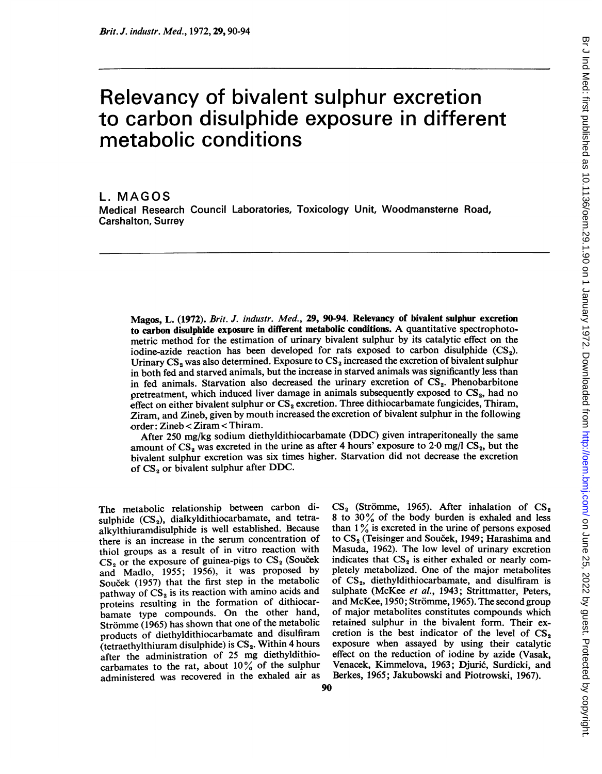# Relevancy of bivalent sulphur excretion to carbon disulphide exposure in different metabolic conditions

L. MAGOS Medical Research Council Laboratories, Toxicology Unit, Woodmansterne Road, Carshalton, Surrey

Magos, L. (1972). Brit. J. industr. Med., 29, 90-94. Relevancy of bivalent sulphur excretion to carbon disulphide exposure in different metabolic conditions. A quantitative spectrophotometric method for the estimation of urinary bivalent sulphur by its catalytic effect on the iodine-azide reaction has been developed for rats exposed to carbon disulphide  $(CS_2)$ . Urinary  $CS_2$  was also determined. Exposure to  $CS_2$  increased the excretion of bivalent sulphur in both fed and starved animals, but the increase in starved animals was significantly less than in fed animals. Starvation also decreased the urinary excretion of  $CS<sub>2</sub>$ . Phenobarbitone pretreatment, which induced liver damage in animals subsequently exposed to  $CS_2$ , had no effect on either bivalent sulphur or  $CS_2$  excretion. Three dithiocarbamate fungicides, Thiram, Ziram, and Zineb, given by mouth increased the excretion of bivalent sulphur in the following order: Zineb < Ziram < Thiram.

After 250 mg/kg sodium diethyldithiocarbamate (DDC) given intraperitoneally the same amount of  $CS_2$  was excreted in the urine as after 4 hours' exposure to 2.0 mg/l  $CS_2$ , but the bivalent sulphur excretion was six times higher. Starvation did not decrease the excretion of  $CS<sub>2</sub>$  or bivalent sulphur after DDC.

The metabolic relationship between carbon disulphide  $(CS_2)$ , dialkyldithiocarbamate, and tetraalkylthiuramdisulphide is well established. Because there is an increase in the serum concentration of thiol groups as a result of in vitro reaction with  $CS<sub>2</sub>$  or the exposure of guinea-pigs to  $CS<sub>2</sub>$  (Soucek and Madlo, 1955; 1956), it was proposed by Souček (1957) that the first step in the metabolic pathway of  $CS<sub>2</sub>$  is its reaction with amino acids and proteins resulting in the formation of dithiocarbamate type compounds. On the other hand, Strömme (1965) has shown that one of the metabolic products of diethyldithiocarbamate and disulfiram (tetraethylthiuram disulphide) is  $CS<sub>2</sub>$ . Within 4 hours after the administration of <sup>25</sup> mg diethyldithiocarbamates to the rat, about 10% of the sulphur administered was recovered in the exhaled air as  $CS<sub>2</sub>$  (Strömme, 1965). After inhalation of  $CS<sub>2</sub>$ <sup>8</sup> to 30% of the body burden is exhaled and less than  $1\%$  is excreted in the urine of persons exposed to CS<sub>2</sub> (Teisinger and Souček, 1949; Harashima and Masuda, 1962). The low level of urinary excretion indicates that  $CS_2$  is either exhaled or nearly completely metabolized. One of the major metabolites of  $CS_2$ , diethyldithiocarbamate, and disulfiram is sulphate (McKee et al., 1943; Strittmatter, Peters, and McKee, 1950; Strömme, 1965). The second group of major metabolites constitutes compounds which retained sulphur in the bivalent form. Their excretion is the best indicator of the level of  $CS_2$ exposure when assayed by using their catalytic effect on the reduction of iodine by azide (Vasak, Venacek, Kimmelova, 1963; Djurić, Surdicki, and Berkes, 1965; Jakubowski and Piotrowski, 1967).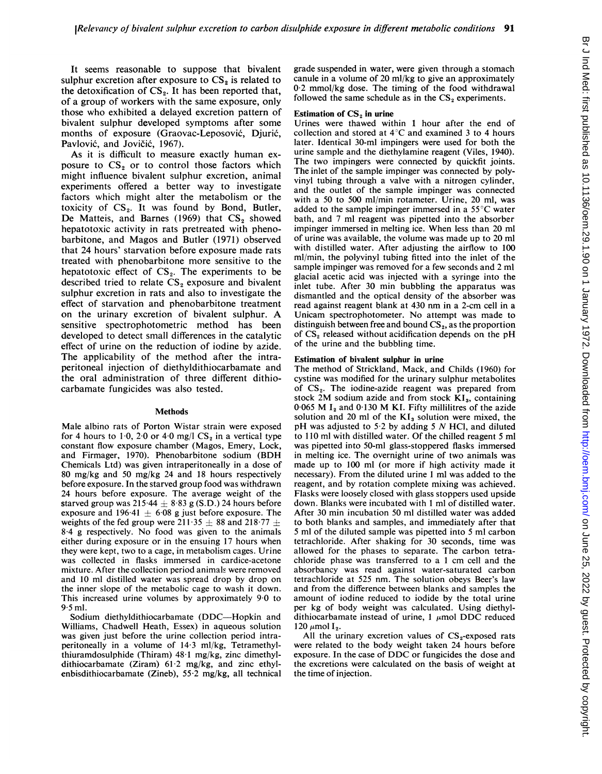It seems reasonable to suppose that bivalent sulphur excretion after exposure to  $CS_2$  is related to the detoxification of  $CS_2$ . It has been reported that, of a group of workers with the same exposure, only those who exhibited a delayed excretion pattern of bivalent sulphur developed symptoms after some months of exposure (Graovac-Leposovic, Djuric, Pavlović, and Jovičić, 1967).

As it is difficult to measure exactly human exposure to  $CS_2$  or to control those factors which might influence bivalent sulphur excretion, animal experiments offered a better way to investigate factors which might alter the metabolism or the toxicity of  $CS_2$ . It was found by Bond, Butler, De Matteis, and Barnes (1969) that  $CS_2$  showed hepatotoxic activity in rats pretreated with phenobarbitone, and Magos and Butler (1971) observed that 24 hours' starvation before exposure made rats treated with phenobarbitone more sensitive to the hepatotoxic effect of  $CS_2$ . The experiments to be described tried to relate  $CS_2$  exposure and bivalent sulphur excretion in rats and also to investigate the effect of starvation and phenobarbitone treatment on the urinary excretion of bivalent sulphur. A sensitive spectrophotometric method has been developed to detect small differences in the catalytic effect of urine on the reduction of iodine by azide. The applicability of the method after the intraperitoneal injection of diethyldithiocarbamate and the oral administration of three different dithiocarbamate fungicides was also tested.

#### Methods

Male albino rats of Porton Wistar strain were exposed for 4 hours to 1.0, 2.0 or 4.0 mg/l  $CS_2$  in a vertical type constant flow exposure chamber (Magos, Emery, Lock, and Firmager, 1970). Phenobarbitone sodium (BDH Chemicals Ltd) was given intraperitoneally in a dose of 80 mg/kg and 50 mg/kg 24 and 18 hours respectively before exposure. In the starved group food was withdrawn 24 hours before exposure. The average weight of the starved group was  $215.44 \pm 8.83$  g (S.D.) 24 hours before exposure and 196.41  $\pm$  6.08 g just before exposure. The weights of the fed group were 211 35  $\pm$  88 and 218 77  $\pm$ 8-4 <sup>g</sup> respectively. No food was given to the animals either during exposure or in the ensuing 17 hours when they were kept, two to a cage, in metabolism cages. Urine was collected in flasks immersed in cardice-acetone mixture. After the collection period animals were removed and <sup>10</sup> ml distilled water was spread drop by drop on the inner slope of the metabolic cage to wash it down. This increased urine volumes by approximately 9 0 to  $9.5$  ml.

Sodium diethyldithiocarbamate (DDC-Hopkin and Williams, Chadwell Heath, Essex) in aqueous solution was given just before the urine collection period intraperitoneally in a volume of 14 3 ml/kg, Tetramethylthiuramdosulphide (Thiram)  $48.1$  mg/kg, zinc dimethyldithiocarbamate (Ziram) 612 mg/kg, and zinc ethylenbisdithiocarbamate (Zineb), 55.2 mg/kg, all technical grade suspended in water, were given through a stomach canule in a volume of 20 ml/kg to give an approximately 0 2 mmol/kg dose. The timing of the food withdrawal followed the same schedule as in the  $CS<sub>2</sub>$  experiments.

#### Estimation of  $CS<sub>2</sub>$  in urine

Urines were thawed within <sup>1</sup> hour after the end of collection and stored at  $4^{\circ}$ C and examined 3 to 4 hours later. Identical 30-ml impingers were used for both the urine sample and the diethylamine reagent (Viles, 1940). The two impingers were connected by quickfit joints. The inlet of the sample impinger was connected by polyvinyl tubing through a valve with a nitrogen cylinder, and the outlet of the sample impinger was connected with a 50 to 500 ml/min rotameter. Urine, 20 ml, was added to the sample impinger immersed in a 55°C water bath, and 7 ml reagent was pipetted into the absorber impinger immersed in melting ice. When less than 20 ml of urine was available, the volume was made up to 20 ml with distilled water. After adjusting the airflow to 100 ml/min, the polyvinyl tubing fitted into the inlet of the sample impinger was removed for a few seconds and 2 ml glacial acetic acid was injected with a syringe into the inlet tube. After 30 min bubbling the apparatus was dismantled and the optical density of the absorber was read against reagent blank at 430 nm in <sup>a</sup> 2-cm cell in <sup>a</sup> Unicam spectrophotometer. No attempt was made to distinguish between free and bound  $CS_2$ , as the proportion of  $CS_2$  released without acidification depends on the pH of the urine and the bubbling time.

#### Estimation of bivalent sulphur in urine

The method of Strickland, Mack, and Childs (1960) for cystine was modified for the urinary sulphur metabolites of  $CS_2$ . The iodine-azide reagent was prepared from stock 2M sodium azide and from stock  $KI_3$ , containing 0.065 M  $I_2$  and 0.130 M KI. Fifty millilitres of the azide solution and 20 ml of the  $KI_3$  solution were mixed, the pH was adjusted to  $5.2$  by adding 5 N HCl, and diluted to 110 ml with distilled water. Of the chilled reagent <sup>5</sup> ml was pipetted into 50-ml glass-stoppered flasks immersed in melting ice. The overnight urine of two animals was made up to 100 ml (or more if high activity made it necessary). From the diluted urine <sup>1</sup> ml was added to the reagent, and by rotation complete mixing was achieved. Flasks were loosely closed with glass stoppers used upside down. Blanks were incubated with <sup>1</sup> ml of distilled water. After 30 min incubation 50 ml distilled water was added to both blanks and samples, and immediately after that 5 ml of the diluted sample was pipetted into 5 ml carbon tetrachloride. After shaking for 30 seconds, time was allowed for the phases to separate. The carbon tetrachloride phase was transferred to a <sup>1</sup> cm cell and the absorbancy was read against water-saturated carbon tetrachloride at 525 nm. The solution obeys Beer's law and from the difference between blanks and samples the amount of iodine reduced to iodide by the total urine per kg of body weight was calculated. Using diethyldithiocarbamate instead of urine,  $1 \mu$ mol DDC reduced 120  $\mu$ mol I<sub>2</sub>.

All the urinary excretion values of  $CS_2$ -exposed rats were related to the body weight taken 24 hours before exposure. In the case of DDC or fungicides the dose and the excretions were calculated on the basis of weight at the time of injection.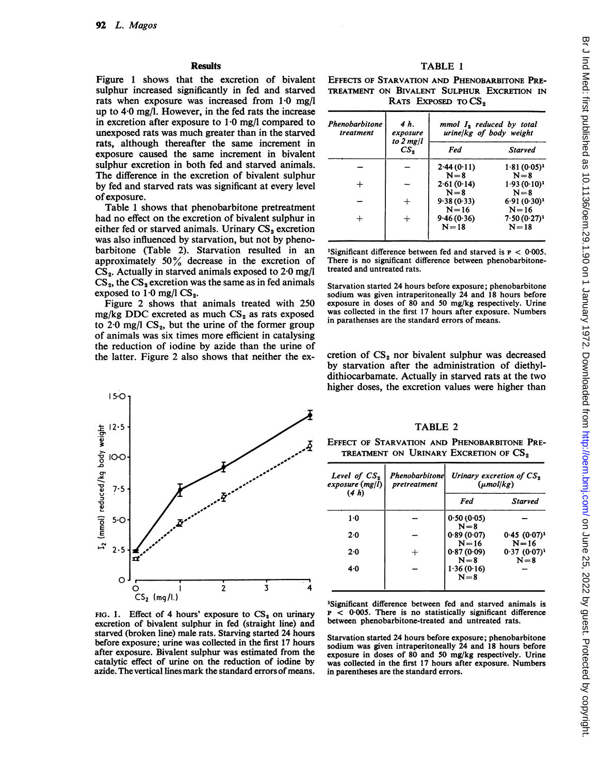### **Results**

Figure <sup>1</sup> shows that the excretion of bivalent sulphur increased significantly in fed and starved rats when exposure was increased from 1-0 mg/l up to  $4.0 \text{ mg/l}$ . However, in the fed rats the increase in excretion after exposure to  $1.0$  mg/l compared to unexposed rats was much greater than in the starved rats, although thereafter the same increment in exposure caused the same increment in bivalent sulphur excretion in both fed and starved animals. The difference in the excretion of bivalent sulphur by fed and starved rats was significant at every level ofexposure.

Table <sup>1</sup> shows that phenobarbitone pretreatment had no effect on the excretion of bivalent sulphur in either fed or starved animals. Urinary  $CS_2$  excretion was also influenced by starvation, but not by phenobarbitone (Table 2). Starvation resulted in an approximately  $50\%$  decrease in the excretion of  $CS_2$ . Actually in starved animals exposed to 2.0 mg/l  $CS_2$ , the  $CS_2$  excretion was the same as in fed animals exposed to  $1.0$  mg/l CS<sub>2</sub>.

Figure 2 shows that animals treated with 250 mg/kg DDC excreted as much  $CS_2$  as rats exposed to  $2.0 \text{ mg/l}$  CS<sub>2</sub>, but the urine of the former group of animals was six times more efficient in catalysing the reduction of iodine by azide than the urine of the latter. Figure 2 also shows that neither the ex-



FIG. 1. Effect of 4 hours' exposure to  $CS_2$  on urinary excretion of bivalent sulphur in fed (straight line) and starved (broken line) male rats. Starving started 24 hours before exposure; urine was collected in the first 17 hours after exposure. Bivalent sulphur was estimated from the catalytic effect of urine on the reduction of iodine by azide. The vertical lines mark the standard errors of means.

# TABLE <sup>1</sup>

EFFECTS OF STARVATION AND PHENOBARBITONE PRE-TREATMENT ON BIVALENT SULPHUR EXCRETION IN RATS EXPOSED TO CS<sub>2</sub>

| Phenobarbitone<br>treatment | 4 h.<br>exposure<br>to $2$ mg/l<br>$\mathbb{C}S_{2}$ | $mmol$ $I_2$ reduced by total<br>urine/kg of body weight |                            |
|-----------------------------|------------------------------------------------------|----------------------------------------------------------|----------------------------|
|                             |                                                      | Fed                                                      | <b>Starved</b>             |
|                             |                                                      | 2.44(0.11)<br>$N=8$                                      | $1.81(0.05)^1$<br>$N=8$    |
| ┿                           |                                                      | 2.61(0.14)<br>$N = 8$                                    | $1.93(0.10)^1$<br>$N = 8$  |
|                             |                                                      | 9.38(0.33)<br>$N = 16$                                   | $6.91(0.30)^1$<br>$N=16$   |
| $\div$                      | ┿                                                    | 9.46(0.36)<br>$N = 18$                                   | $7.50(0.27)^1$<br>$N = 18$ |

<sup>1</sup>Significant difference between fed and starved is  $P < 0.005$ . There is no significant difference between phenobarbitonetreated and untreated rats.

Starvation started 24 hours before exposure; phenobarbitone sodium was given intraperitoneally 24 and 18 hours before exposure in doses of 80 and 50 mg/kg respectively. Urine was collected in the first 17 hours after exposure. Numbers in parathenses are the standard errors of means.

cretion of  $CS_2$  nor bivalent sulphur was decreased by starvation after the administration of diethyldithiocarbamate. Actually in starved rats at the two higher doses, the excretion values were higher than

## TABLE <sup>2</sup>

EFFECT OF STARVATION AND PHENOBARBITONE PRE-TREATMENT ON URINARY EXCRETION OF  $\text{CS}_2$ 

| Level of $CS2$<br>exposure (mg/l)<br>(4 h) | Phenobarbitonel<br>pretreatment | Urinary excretion of $CS_2$<br>$(\mu mol/kg)$ |                              |
|--------------------------------------------|---------------------------------|-----------------------------------------------|------------------------------|
|                                            |                                 | Fed                                           | <b>Starved</b>               |
| $1-0$                                      |                                 | 0.50(0.05)<br>$N = 8$                         |                              |
| 2.0                                        |                                 | 0.89(0.07)<br>$N = 16$                        | $0.45(0.07)^1$<br>$N = 16$   |
| 2.0                                        | $^{+}$                          | 0.87(0.09)<br>$N=8$                           | $0.37 (0.07)^{1}$<br>$N = 8$ |
| $4-0$                                      |                                 | 1.36(0.16)<br>$N = 8$                         |                              |

'Significant difference between fed and starved animals is  $p \leq 0.005$ . There is no statistically significant difference between phenobarbitone-treated and untreated rats.

Starvation started 24 hours before exposure; phenobarbitone sodium was given intraperitoneally 24 and 18 hours before exposure in doses of 80 and 50 mg/kg respectively. Urine was collected in the first 17 hours after exposure. Numbers in parentheses are the standard errors.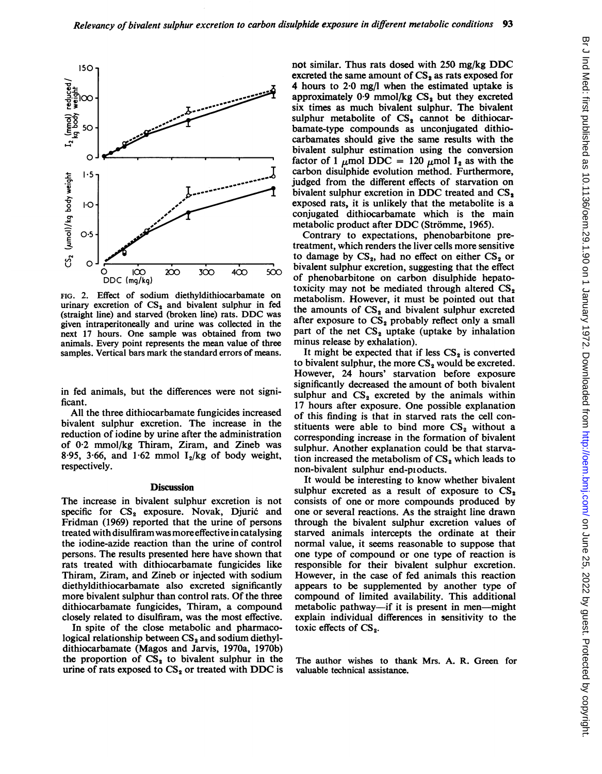

FIG. 2. Effect of sodium diethyldithiocarbamate on urinary excretion of  $CS_2$  and bivalent sulphur in fed (straight line) and starved (broken line) rats. DDC was given intraperitoneally and urine was collected in the next 17 hours. One sample was obtained from two animals. Every point represents the mean value of three samples. Vertical bars mark the standard errors of means.

in fed animals, but the differences were not significant.

All the three dithiocarbamate fungicides increased bivalent sulphur excretion. The increase in the reduction of iodine by urine after the administration of  $0.2$  mmol/kg Thiram, Ziram, and Zineb was 8.95, 3.66, and 1.62 mmol  $I_2/kg$  of body weight, respectively.

### **Discussion**

The increase in bivalent sulphur excretion is not specific for CS<sub>2</sub> exposure. Novak, Djurić and Fridman (1969) reported that the urine of persons treated with disulfiram was more<sup>e</sup> the iodine-azide reaction than <sup>t</sup> persons. The results presented here have shown that rats treated with dithiocarbamate fungicides like Thiram, Ziram, and Zineb or injected with sodium diethyldithiocarbamate also excreted significantly more bivalent sulphur than control rats. Of the three dithiocarbamate fungicides, Thiram, a compound closely related to disulfiram, wa

In spite of the close metabolic and pharmacological relationship between  $\mathbb{CS}_{2}$  and sodium diethyldithiocarbamate (Magos and Jarvis, 1970a, 1970b) the proportion of  $CS_2$  to bivalent sulphur in the urine of rats exposed to  $CS_2$  or treated with DDC is

not similar. Thus rats dosed with <sup>250</sup> mg/kg DDC excreted the same amount of  $CS<sub>2</sub>$  as rats exposed for 4 hours to 2-0 mg/l when the estimated uptake is approximately  $0.9$  mmol/kg  $CS<sub>2</sub>$  but they excreted six times as much bivalent sulphur. The bivalent sulphur metabolite of  $CS<sub>2</sub>$  cannot be dithiocarbamate-type compounds as unconjugated dithiocarbamates should give the same results with the bivalent sulphur estimation using the conversion factor of 1  $\mu$ mol DDC = 120  $\mu$ mol I<sub>2</sub> as with the carbon disulphide evolution method. Furthermore, judged from the different effects of starvation on bivalent sulphur excretion in DDC treated and  $CS<sub>2</sub>$ exposed rats, it is unlikely that the metabolite is a conjugated dithiocarbamate which is the main metabolic product after DDC (Strömme, 1965).

Contrary to expectations, phenobarbitone pretreatment, which renders the liver cells more sensitive to damage by  $CS_2$ , had no effect on either  $CS_2$  or  $\frac{1}{300}$  400 500 bivalent sulphur excretion, suggesting that the effect of phenobarbitone on carbon disulphide hepatotoxicity may not be mediated through altered  $CS_2$ metabolism. However, it must be pointed out that  $\frac{1}{2}$  ratios in recording the amounts of  $CS_2$  and bivalent sulphur excreted was collected in the  $\frac{a_1}{c_1}$  exposure to  $C_2$  probably reflect only a small part of the net  $CS_2$  uptake (uptake by inhalation minus release by exhalation).

It might be expected that if less  $CS_2$  is converted to bivalent sulphur, the more  $CS_2$  would be excreted. However, 24 hours' starvation before exposure significantly decreased the amount of both bivalent ces were not signi-<br>sulphur and  $CS_2$  excreted by the animals within<br>fungicides increased of this finding is that in starved rats the cell con-<br>fungicides increased of this finding is that in starved rats the cell conof this finding is that in starved rats the cell constituents were able to bind more  $CS_2$  without a corresponding increase in the formation of bivalent sulphur. Another explanation could be that starvation increased the metabolism of  $CS_2$  which leads to non-bivalent sulphur end-pioducts.

It would be interesting to know whether bivalent sulphur excreted as a result of exposure to  $CS_2$ consists of one or more compounds produced by one or several reactions. As the straight line drawn through the bivalent sulphur excretion values of starved animals intercepts the ordinate at their normal value, it seems reasonable to suppose that one type of compound or one type of reaction is responsible for their bivalent sulphur excretion. However, in the case of fed animals this reaction appears to be supplemented by another type of compound of limited availability. This additional metabolic pathway—if it is present in men—might explain individual differences in sensitivity to the toxic effects of  $CS_2$ .

The author wishes to thank Mrs. A. R. Green for valuable technical assistance.